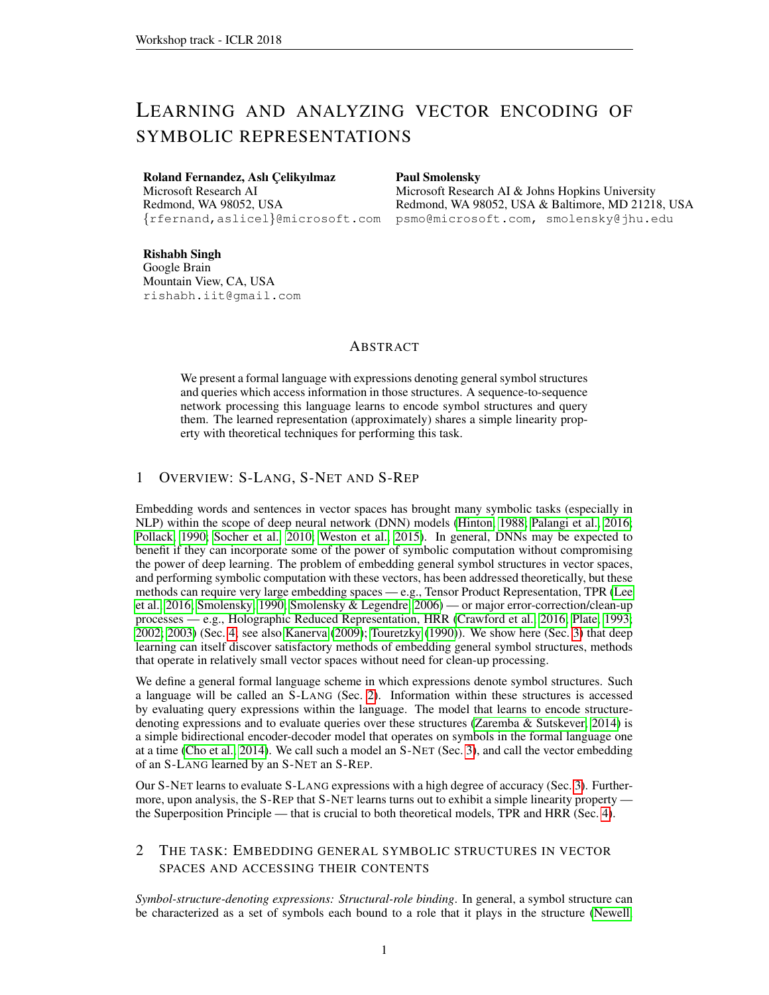# LEARNING AND ANALYZING VECTOR ENCODING OF SYMBOLIC REPRESENTATIONS

## Roland Fernandez, Aslı Çelikyılmaz

Microsoft Research AI Redmond, WA 98052, USA {rfernand,aslicel}@microsoft.com

#### Paul Smolensky

Microsoft Research AI & Johns Hopkins University Redmond, WA 98052, USA & Baltimore, MD 21218, USA psmo@microsoft.com, smolensky@jhu.edu

Rishabh Singh Google Brain Mountain View, CA, USA rishabh.iit@gmail.com

# ABSTRACT

We present a formal language with expressions denoting general symbol structures and queries which access information in those structures. A sequence-to-sequence network processing this language learns to encode symbol structures and query them. The learned representation (approximately) shares a simple linearity property with theoretical techniques for performing this task.

# <span id="page-0-1"></span>1 OVERVIEW: S-LANG, S-NET AND S-REP

Embedding words and sentences in vector spaces has brought many symbolic tasks (especially in NLP) within the scope of deep neural network (DNN) models [\(Hinton, 1988;](#page-3-0) [Palangi et al., 2016;](#page-3-1) [Pollack, 1990;](#page-3-2) [Socher et al., 2010;](#page-3-3) [Weston et al., 2015\)](#page-3-4). In general, DNNs may be expected to benefit if they can incorporate some of the power of symbolic computation without compromising the power of deep learning. The problem of embedding general symbol structures in vector spaces, and performing symbolic computation with these vectors, has been addressed theoretically, but these methods can require very large embedding spaces — e.g., Tensor Product Representation, TPR [\(Lee](#page-3-5) [et al., 2016;](#page-3-5) [Smolensky, 1990;](#page-3-6) [Smolensky & Legendre, 2006\)](#page-3-7) — or major error-correction/clean-up processes — e.g., Holographic Reduced Representation, HRR [\(Crawford et al., 2016;](#page-3-8) [Plate, 1993;](#page-3-9) [2002;](#page-3-10) [2003\)](#page-3-11) (Sec. [4;](#page-1-0) see also [Kanerva](#page-3-12) [\(2009\)](#page-3-12); [Touretzky](#page-3-13) [\(1990\)](#page-3-13)). We show here (Sec. [3\)](#page-1-1) that deep learning can itself discover satisfactory methods of embedding general symbol structures, methods that operate in relatively small vector spaces without need for clean-up processing.

We define a general formal language scheme in which expressions denote symbol structures. Such a language will be called an S-LANG (Sec. [2\)](#page-0-0). Information within these structures is accessed by evaluating query expressions within the language. The model that learns to encode structuredenoting expressions and to evaluate queries over these structures [\(Zaremba & Sutskever, 2014\)](#page-3-14) is a simple bidirectional encoder-decoder model that operates on symbols in the formal language one at a time [\(Cho et al., 2014\)](#page-3-15). We call such a model an S-NET (Sec. [3\)](#page-1-1), and call the vector embedding of an S-LANG learned by an S-NET an S-REP.

Our S-NET learns to evaluate S-LANG expressions with a high degree of accuracy (Sec. [3\)](#page-1-1). Furthermore, upon analysis, the S-REP that S-NET learns turns out to exhibit a simple linearity property the Superposition Principle — that is crucial to both theoretical models, TPR and HRR (Sec. [4\)](#page-1-0).

# <span id="page-0-0"></span>2 THE TASK: EMBEDDING GENERAL SYMBOLIC STRUCTURES IN VECTOR SPACES AND ACCESSING THEIR CONTENTS

*Symbol-structure-denoting expressions: Structural-role binding*. In general, a symbol structure can be characterized as a set of symbols each bound to a role that it plays in the structure [\(Newell,](#page-3-16)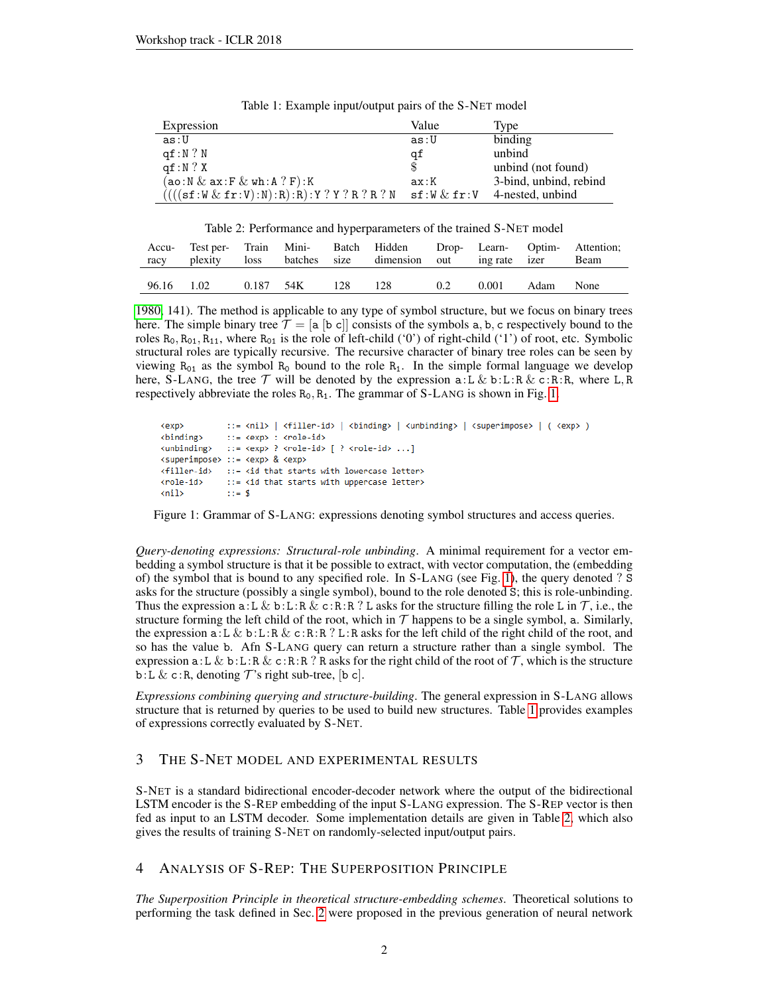| Expression                                    | Value                                                              | Type                   |
|-----------------------------------------------|--------------------------------------------------------------------|------------------------|
| as:U                                          | as:U                                                               | binding                |
| qf: N ? N                                     | qf                                                                 | unbind                 |
| af:N?X                                        | \$                                                                 | unbind (not found)     |
| $(\verb"ao:N & ax:F & wh:A ? F):K"$           | ax:K                                                               | 3-bind, unbind, rebind |
| $(((sf:W \& fr:V):N):R):R):Y ? Y ? R ? R ? N$ | $\texttt{sf} \colon \mathtt{W} \And \texttt{fr} \colon \mathtt{V}$ | 4-nested, unbind       |

<span id="page-1-3"></span>Table 1: Example input/output pairs of the S-NET model

<span id="page-1-4"></span>Table 2: Performance and hyperparameters of the trained S-NET model

|            |  |                   | Accu- Test per- Train Mini- Batch Hidden Drop- Learn- Optim- Attention;<br>racy plexity loss batches size dimension out ingrate izer Beam |     |                 |  |
|------------|--|-------------------|-------------------------------------------------------------------------------------------------------------------------------------------|-----|-----------------|--|
| 96.16 1.02 |  | 0.187 54K 128 128 |                                                                                                                                           | 0.2 | 0.001 Adam None |  |

[1980,](#page-3-16) 141). The method is applicable to any type of symbol structure, but we focus on binary trees here. The simple binary tree  $\mathcal{T} = [\mathsf{a} \, [\mathsf{b} \, \mathsf{c}]]$  consists of the symbols  $\mathsf{a}, \mathsf{b}, \mathsf{c}$  respectively bound to the roles  $R_0$ ,  $R_{01}$ ,  $R_{11}$ , where  $R_{01}$  is the role of left-child ('0') of right-child ('1') of root, etc. Symbolic structural roles are typically recursive. The recursive character of binary tree roles can be seen by viewing  $R_{01}$  as the symbol  $R_0$  bound to the role  $R_1$ . In the simple formal language we develop here, S-LANG, the tree  $\mathcal T$  will be denoted by the expression a:L & b:L:R & c:R:R, where L, R respectively abbreviate the roles  $R_0$ ,  $R_1$ . The grammar of S-LANG is shown in Fig. [1.](#page-1-2)

```
::= \langle \text{nil}\rangle | \langle \text{filler-id}\rangle | \langle \text{binding}\rangle | \langle \text{unbinding}\rangle | \langle \text{superimpose}\rangle | \langle \text{exp}\rangle )
<exn>
<binding>
                   ::= <exp> : <role-id>
<unbinding>
                  ::= <exp> ? <role-id> [ ? <role-id> ...]
<superimpose> ::= <exp> & <exp>
                  ::= <id that starts with lowercase letter>
<filler-id>
<role-id>
                   ::= <id that starts with uppercase letter>
\langlenil\rangle: := $
```
<span id="page-1-2"></span>Figure 1: Grammar of S-LANG: expressions denoting symbol structures and access queries.

*Query-denoting expressions: Structural-role unbinding*. A minimal requirement for a vector embedding a symbol structure is that it be possible to extract, with vector computation, the (embedding of) the symbol that is bound to any specified role. In S-LANG (see Fig. [1\)](#page-1-2), the query denoted ? S asks for the structure (possibly a single symbol), bound to the role denoted S; this is role-unbinding. Thus the expression a: L & b:L:R & c:R:R ? L asks for the structure filling the role L in  $\mathcal{T}$ , i.e., the structure forming the left child of the root, which in  $\mathcal T$  happens to be a single symbol, a. Similarly, the expression  $a: L \& b: L: R \& c: R: R? L: R$  asks for the left child of the right child of the root, and so has the value b. Afn S-LANG query can return a structure rather than a single symbol. The expression  $a: L \& b: L: R \& c: R: R$ ? R asks for the right child of the root of T, which is the structure b:L & c:R, denoting  $\mathcal{T}$ 's right sub-tree, [b c].

*Expressions combining querying and structure-building*. The general expression in S-LANG allows structure that is returned by queries to be used to build new structures. Table [1](#page-1-3) provides examples of expressions correctly evaluated by S-NET.

## <span id="page-1-1"></span>3 THE S-NET MODEL AND EXPERIMENTAL RESULTS

S-NET is a standard bidirectional encoder-decoder network where the output of the bidirectional LSTM encoder is the S-REP embedding of the input S-LANG expression. The S-REP vector is then fed as input to an LSTM decoder. Some implementation details are given in Table [2,](#page-1-4) which also gives the results of training S-NET on randomly-selected input/output pairs.

### <span id="page-1-0"></span>4 ANALYSIS OF S-REP: THE SUPERPOSITION PRINCIPLE

*The Superposition Principle in theoretical structure-embedding schemes*. Theoretical solutions to performing the task defined in Sec. [2](#page-0-0) were proposed in the previous generation of neural network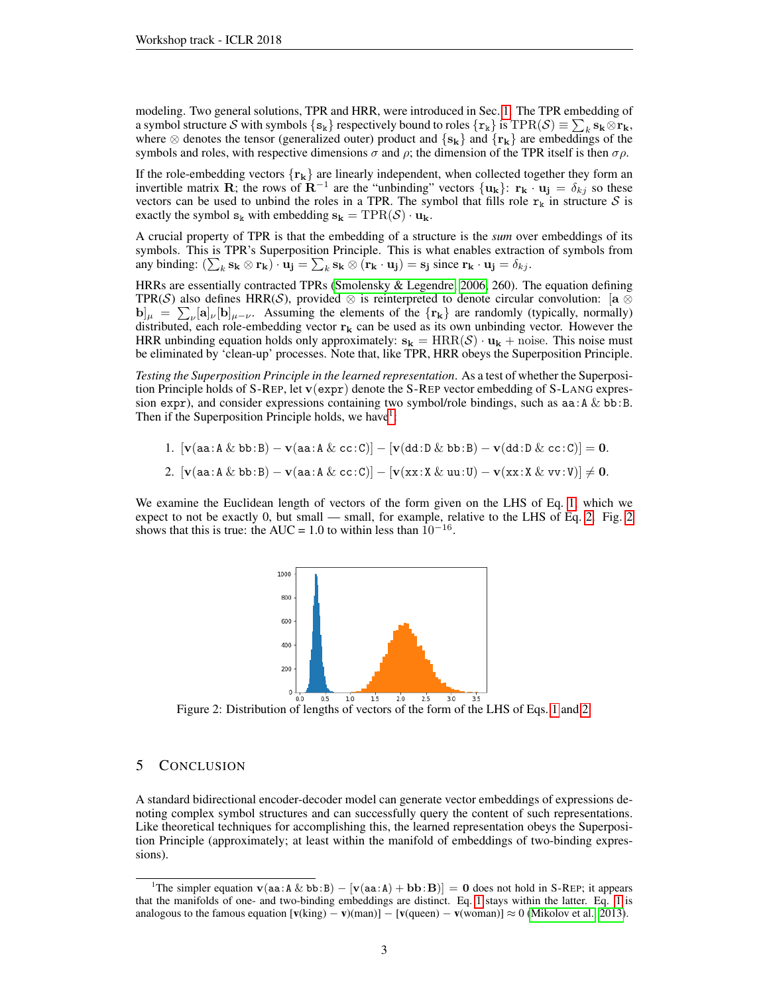modeling. Two general solutions, TPR and HRR, were introduced in Sec. [1.](#page-0-1) The TPR embedding of a symbol structure S with symbols  $\{s_k\}$  respectively bound to roles  $\{r_k\}$  is  $\text{TPR}(\mathcal{S}) \equiv \sum_k s_k \otimes r_k$ , where  $\otimes$  denotes the tensor (generalized outer) product and  $\{s_k\}$  and  $\{r_k\}$  are embeddings of the symbols and roles, with respective dimensions  $\sigma$  and  $\rho$ ; the dimension of the TPR itself is then  $\sigma\rho$ .

If the role-embedding vectors  $\{r_k\}$  are linearly independent, when collected together they form an invertible matrix **R**; the rows of  $\mathbf{R}^{-1}$  are the "unbinding" vectors  $\{\mathbf{u_k}\}\colon \mathbf{r_k} \cdot \mathbf{u_j} = \delta_{kj}$  so these vectors can be used to unbind the roles in a TPR. The symbol that fills role  $r_k$  in structure S is exactly the symbol  $s_k$  with embedding  $s_k = TPR(S) \cdot u_k$ .

A crucial property of TPR is that the embedding of a structure is the *sum* over embeddings of its symbols. This is TPR's Superposition Principle. This is what enables extraction of symbols from any binding:  $(\sum_k \mathbf{s_k} \otimes \mathbf{r_k}) \cdot \mathbf{u_j} = \sum_k \mathbf{s_k} \otimes (\mathbf{r_k} \cdot \mathbf{u_j}) = \mathbf{s_j}$  since  $\mathbf{r_k} \cdot \mathbf{u_j} = \delta_{kj}$ .

HRRs are essentially contracted TPRs [\(Smolensky & Legendre, 2006,](#page-3-7) 260). The equation defining TPR(S) also defines HRR(S), provided  $\otimes$  is reinterpreted to denote circular convolution: [a  $\otimes$  $\mathbf{b}|_{\mu} = \sum_{\nu} [\mathbf{a}]_{\nu} [\mathbf{b}]_{\mu-\nu}$ . Assuming the elements of the  $\{\mathbf{r}_{k}\}\$ are randomly (typically, normally) distributed, each role-embedding vector  $r_k$  can be used as its own unbinding vector. However the HRR unbinding equation holds only approximately:  $s_k = HRR(S) \cdot u_k +$  noise. This noise must be eliminated by 'clean-up' processes. Note that, like TPR, HRR obeys the Superposition Principle.

*Testing the Superposition Principle in the learned representation*. As a test of whether the Superposition Principle holds of S-REP, let  $v(expr)$  denote the S-REP vector embedding of S-LANG expression expr), and consider expressions containing two symbol/role bindings, such as  $aa: A \& bb:B$ . Then if the Superposition Principle holds, we have  $1$ :

<span id="page-2-1"></span>1.  $[v(aa:A & bb:B) - v(aa:A & cc:C)] - [v(dd:D & bb:B) - v(dd:D & cc:C)] = 0.$  $\overline{P}$   $(1 \pm \sqrt{3} \cdot \overline{N})$   $(1 \pm \sqrt{3} \cdot \overline{N})$   $(1 \pm \sqrt{3} \cdot \overline{N})$   $(1 \pm \sqrt{3} \cdot \overline{N})$ 

<span id="page-2-2"></span>
$$
2.~~\lfloor \mathbf{v}(\mathtt{aa}:\mathtt{A} \ \&\ \mathtt{bb}:\mathtt{B}) - \mathbf{v}(\mathtt{aa}:\mathtt{A} \ \&\ \mathtt{cc}:\mathtt{C}) \rfloor - \lfloor \mathbf{v}(\mathtt{x}\mathtt{x}:\mathtt{X} \ \&\ \mathtt{uu}:\mathtt{U}) - \mathbf{v}(\mathtt{x}\mathtt{x}:\mathtt{X} \ \&\ \mathtt{v}\mathtt{v}:\mathtt{V}) \rfloor \neq \mathbf{0}
$$

We examine the Euclidean length of vectors of the form given on the LHS of Eq. [1,](#page-2-1) which we expect to not be exactly 0, but small — small, for example, relative to the LHS of Eq. [2.](#page-2-2) Fig. [2](#page-2-3) shows that this is true: the AUC = 1.0 to within less than  $10^{-16}$ .



<span id="page-2-3"></span>Figure 2: Distribution of lengths of vectors of the form of the LHS of Eqs. [1](#page-2-1) and [2.](#page-2-2)

# 5 CONCLUSION

A standard bidirectional encoder-decoder model can generate vector embeddings of expressions denoting complex symbol structures and can successfully query the content of such representations. Like theoretical techniques for accomplishing this, the learned representation obeys the Superposition Principle (approximately; at least within the manifold of embeddings of two-binding expressions).

<span id="page-2-0"></span><sup>&</sup>lt;sup>1</sup>The simpler equation **v**( $aa: A \& bb: B$ ) – [**v**( $aa: A$ ) + **bb**: **B**)] = 0 does not hold in S-REP; it appears that the manifolds of one- and two-binding embeddings are distinct. Eq. [1](#page-2-1) stays within the latter. Eq. [1](#page-2-1) is analogous to the famous equation  $[v(king) - v)(man)] - [v(queen) - v(woman)] \approx 0$  [\(Mikolov et al., 2013\)](#page-3-17).